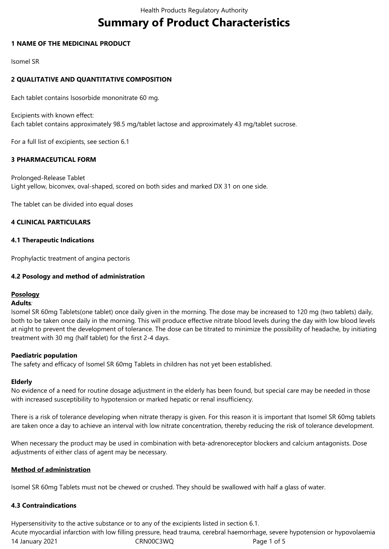# **Summary of Product Characteristics**

# **1 NAME OF THE MEDICINAL PRODUCT**

Isomel SR

# **2 QUALITATIVE AND QUANTITATIVE COMPOSITION**

Each tablet contains Isosorbide mononitrate 60 mg.

Excipients with known effect: Each tablet contains approximately 98.5 mg/tablet lactose and approximately 43 mg/tablet sucrose.

For a full list of excipients, see section 6.1

# **3 PHARMACEUTICAL FORM**

Prolonged-Release Tablet Light yellow, biconvex, oval-shaped, scored on both sides and marked DX 31 on one side.

The tablet can be divided into equal doses

# **4 CLINICAL PARTICULARS**

# **4.1 Therapeutic Indications**

Prophylactic treatment of angina pectoris

# **4.2 Posology and method of administration**

# **Posology**

# **Adults***:*

Isomel SR 60mg Tablets(one tablet) once daily given in the morning. The dose may be increased to 120 mg (two tablets) daily, both to be taken once daily in the morning. This will produce effective nitrate blood levels during the day with low blood levels at night to prevent the development of tolerance. The dose can be titrated to minimize the possibility of headache, by initiating treatment with 30 mg (half tablet) for the first 2-4 days.

# **Paediatric population**

The safety and efficacy of Isomel SR 60mg Tablets in children has not yet been established.

# **Elderly**

No evidence of a need for routine dosage adjustment in the elderly has been found, but special care may be needed in those with increased susceptibility to hypotension or marked hepatic or renal insufficiency.

There is a risk of tolerance developing when nitrate therapy is given. For this reason it is important that Isomel SR 60mg tablets are taken once a day to achieve an interval with low nitrate concentration, thereby reducing the risk of tolerance development.

When necessary the product may be used in combination with beta-adrenoreceptor blockers and calcium antagonists. Dose adjustments of either class of agent may be necessary.

# **Method of administration**

Isomel SR 60mg Tablets must not be chewed or crushed. They should be swallowed with half a glass of water.

# **4.3 Contraindications**

14 January 2021 CRN00C3WQ Page 1 of 5 Hypersensitivity to the active substance or to any of the excipients listed in section 6.1. Acute myocardial infarction with low filling pressure, head trauma, cerebral haemorrhage, severe hypotension or hypovolaemia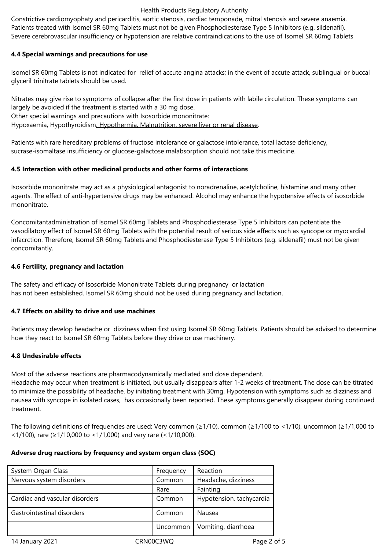Severe cerebrovascular insufficiency or hypotension are relative contraindications to the use of Isomel SR 60mg Tablets

# **4.4 Special warnings and precautions for use**

Isomel SR 60mg Tablets is not indicated for relief of accute angina attacks; in the event of accute attack, sublingual or buccal glyceril trinitrate tablets should be used.

Nitrates may give rise to symptoms of collapse after the first dose in patients with labile circulation. These symptoms can largely be avoided if the treatment is started with a 30 mg dose. Other special warnings and precautions with Isosorbide mononitrate: Hypoxaemia, Hypothyroidism, Hypothermia, Malnutrition, severe liver or renal disease.

Patients with rare hereditary problems of fructose intolerance or galactose intolerance, total lactase deficiency, sucrase-isomaltase insufficie[ncy or glucose-galactose malabsorption should not take t](/cm/SitePages/)his medicine.

# **4.5 Interaction with other medicinal products and other forms of interactions**

Isosorbide mononitrate may act as a physiological antagonist to noradrenaline, acetylcholine, histamine and many other agents. The effect of anti-hypertensive drugs may be enhanced. Alcohol may enhance the hypotensive effects of isosorbide mononitrate.

Concomitantadministration of Isomel SR 60mg Tablets and Phosphodiesterase Type 5 Inhibitors can potentiate the vasodilatory effect of Isomel SR 60mg Tablets with the potential result of serious side effects such as syncope or myocardial infacrction. Therefore, Isomel SR 60mg Tablets and Phosphodiesterase Type 5 Inhibitors (e.g. sildenafil) must not be given concomitantly.

# **4.6 Fertility, pregnancy and lactation**

The safety and efficacy of Isosorbide Mononitrate Tablets during pregnancy or lactation has not been established. Isomel SR 60mg should not be used during pregnancy and lactation.

# **4.7 Effects on ability to drive and use machines**

Patients may develop headache or dizziness when first using Isomel SR 60mg Tablets. Patients should be advised to determine how they react to Isomel SR 60mg Tablets before they drive or use machinery.

# **4.8 Undesirable effects**

Most of the adverse reactions are pharmacodynamically mediated and dose dependent.

Headache may occur when treatment is initiated, but usually disappears after 1-2 weeks of treatment. The dose can be titrated to minimize the possibility of headache, by initiating treatment with 30mg. Hypotension with symptoms such as dizziness and nausea with syncope in isolated cases, has occasionally been reported. These symptoms generally disappear during continued treatment.

The following definitions of frequencies are used: Very common (≥1/10), common (≥1/100 to <1/10), uncommon (≥1/1,000 to <1/100), rare (≥1/10,000 to <1/1,000) and very rare (<1/10,000).

# **Adverse drug reactions by frequency and system organ class (SOC)**

| System Organ Class             | Frequency | Reaction                 |  |
|--------------------------------|-----------|--------------------------|--|
| Nervous system disorders       | Common    | Headache, dizziness      |  |
|                                | Rare      | Fainting                 |  |
| Cardiac and vascular disorders | Common    | Hypotension, tachycardia |  |
| Gastrointestinal disorders     | Common    | Nausea                   |  |
|                                | Uncommon  | Vomiting, diarrhoea      |  |
| 14 January 2021                | CRN00C3WQ | Page 2 of 5              |  |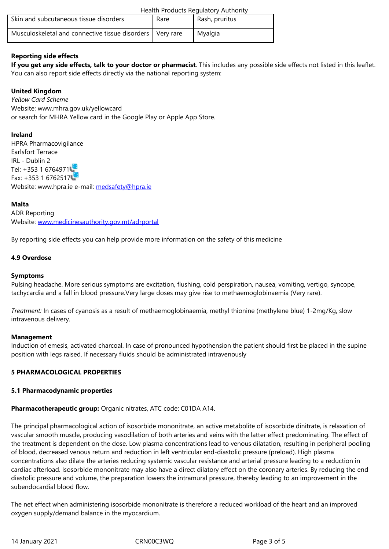| <u>TMUSCUIOSKEIETAI AND CONNECTIVE TISSUE DISORDERS TIVERY PARE</u> | <u>TVIValdia</u> |
|---------------------------------------------------------------------|------------------|
|                                                                     |                  |
|                                                                     |                  |
|                                                                     |                  |

# **Reporting side effects**

**If you get any side effects, talk to your doctor or pharmacist**. This includes any possible side effects not listed in this leaflet. You can also report side effects directly via the national reporting system:

#### **United Kingdom**

*Yellow Card Scheme*  Website: www.mhra.gov.uk/yellowcard or search for MHRA Yellow card in the Google Play or Apple App Store.

# **Ireland**

HPRA Pharmacovigilance Earlsfort Terrace IRL - Dublin 2 Tel: +353 1 6764971 Fax: +353 1 6762517 Website: www.hpra.ie e-mail: medsafety@hpra.ie

**Malta** ADR Reporting Website: www.medicinesauth[ority.gov.mt/adrport](mailto:medsafety@hpra.ie)al

By reporting side effects you can help provide more information on the safety of this medicine

#### **4.9 Over[dose](http://www.medicinesauthority.gov.mt/adrportal)**

#### **Symptoms**

Pulsing headache. More serious symptoms are excitation, flushing, cold perspiration, nausea, vomiting, vertigo, syncope, tachycardia and a fall in blood pressure.Very large doses may give rise to methaemoglobinaemia (Very rare).

*Treatment:* In cases of cyanosis as a result of methaemoglobinaemia, methyl thionine (methylene blue) 1-2mg/Kg, slow intravenous delivery.

#### **Management**

Induction of emesis, activated charcoal. In case of pronounced hypothension the patient should first be placed in the supine position with legs raised. If necessary fluids should be administrated intravenously

#### **5 PHARMACOLOGICAL PROPERTIES**

#### **5.1 Pharmacodynamic properties**

#### **Pharmacotherapeutic group:** Organic nitrates, ATC code: C01DA A14.

The principal pharmacological action of isosorbide mononitrate, an active metabolite of isosorbide dinitrate, is relaxation of vascular smooth muscle, producing vasodilation of both arteries and veins with the latter effect predominating. The effect of the treatment is dependent on the dose. Low plasma concentrations lead to venous dilatation, resulting in peripheral pooling of blood, decreased venous return and reduction in left ventricular end-diastolic pressure (preload). High plasma concentrations also dilate the arteries reducing systemic vascular resistance and arterial pressure leading to a reduction in cardiac afterload. Isosorbide mononitrate may also have a direct dilatory effect on the coronary arteries. By reducing the end diastolic pressure and volume, the preparation lowers the intramural pressure, thereby leading to an improvement in the subendocardial blood flow.

The net effect when administering isosorbide mononitrate is therefore a reduced workload of the heart and an improved oxygen supply/demand balance in the myocardium.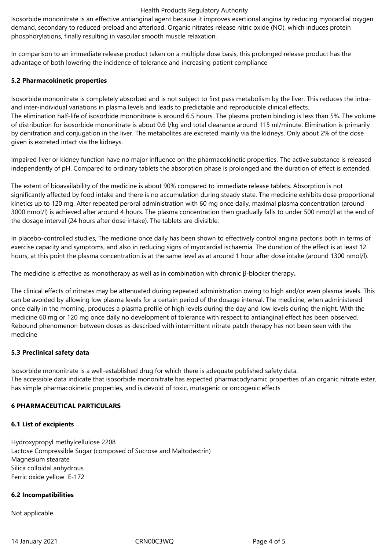#### Health Products Regulatory Authority

Isosorbide mononitrate is an effective antianginal agent because it improves exertional angina by reducing myocardial oxygen demand, secondary to reduced preload and afterload. Organic nitrates release nitric oxide (NO), which induces protein phosphorylations, finally resulting in vascular smooth muscle relaxation.

In comparison to an immediate release product taken on a multiple dose basis, this prolonged release product has the advantage of both lowering the incidence of tolerance and increasing patient compliance

# **5.2 Pharmacokinetic properties**

Isosorbide mononitrate is completely absorbed and is not subject to first pass metabolism by the liver. This reduces the intraand inter-individual variations in plasma levels and leads to predictable and reproducible clinical effects. The elimination half-life of isosorbide mononitrate is around 6.5 hours. The plasma protein binding is less than 5%. The volume of distribution for isosorbide mononitrate is about 0.6 l/kg and total clearance around 115 ml/minute. Elimination is primarily by denitration and conjugation in the liver. The metabolites are excreted mainly via the kidneys. Only about 2% of the dose given is excreted intact via the kidneys.

Impaired liver or kidney function have no major influence on the pharmacokinetic properties. The active substance is released independently of pH. Compared to ordinary tablets the absorption phase is prolonged and the duration of effect is extended.

The extent of bioavailability of the medicine is about 90% compared to immediate release tablets. Absorption is not significantly affected by food intake and there is no accumulation during steady state. The medicine exhibits dose proportional kinetics up to 120 mg. After repeated peroral administration with 60 mg once daily, maximal plasma concentration (around 3000 nmol/l) is achieved after around 4 hours. The plasma concentration then gradually falls to under 500 nmol/l at the end of the dosage interval (24 hours after dose intake). The tablets are divisible.

In placebo-controlled studies, The medicine once daily has been shown to effectively control angina pectoris both in terms of exercise capacity and symptoms, and also in reducing signs of myocardial ischaemia. The duration of the effect is at least 12 hours, at this point the plasma concentration is at the same level as at around 1 hour after dose intake (around 1300 nmol/l).

The medicine is effective as monotherapy as well as in combination with chronic β-blocker therapy*.*

The clinical effects of nitrates may be attenuated during repeated administration owing to high and/or even plasma levels. This can be avoided by allowing low plasma levels for a certain period of the dosage interval. The medicine, when administered once daily in the morning, produces a plasma profile of high levels during the day and low levels during the night. With the medicine 60 mg or 120 mg once daily no development of tolerance with respect to antianginal effect has been observed. Rebound phenomenon between doses as described with intermittent nitrate patch therapy has not been seen with the medicine

# **5.3 Preclinical safety data**

Isosorbide mononitrate is a well-established drug for which there is adequate published safety data. The accessible data indicate that isosorbide mononitrate has expected pharmacodynamic properties of an organic nitrate ester, has simple pharmacokinetic properties, and is devoid of toxic, mutagenic or oncogenic effects

# **6 PHARMACEUTICAL PARTICULARS**

# **6.1 List of excipients**

Hydroxypropyl methylcellulose 2208 Lactose Compressible Sugar (composed of Sucrose and Maltodextrin) Magnesium stearate Silica colloidal anhydrous Ferric oxide yellow E-172

# **6.2 Incompatibilities**

Not applicable